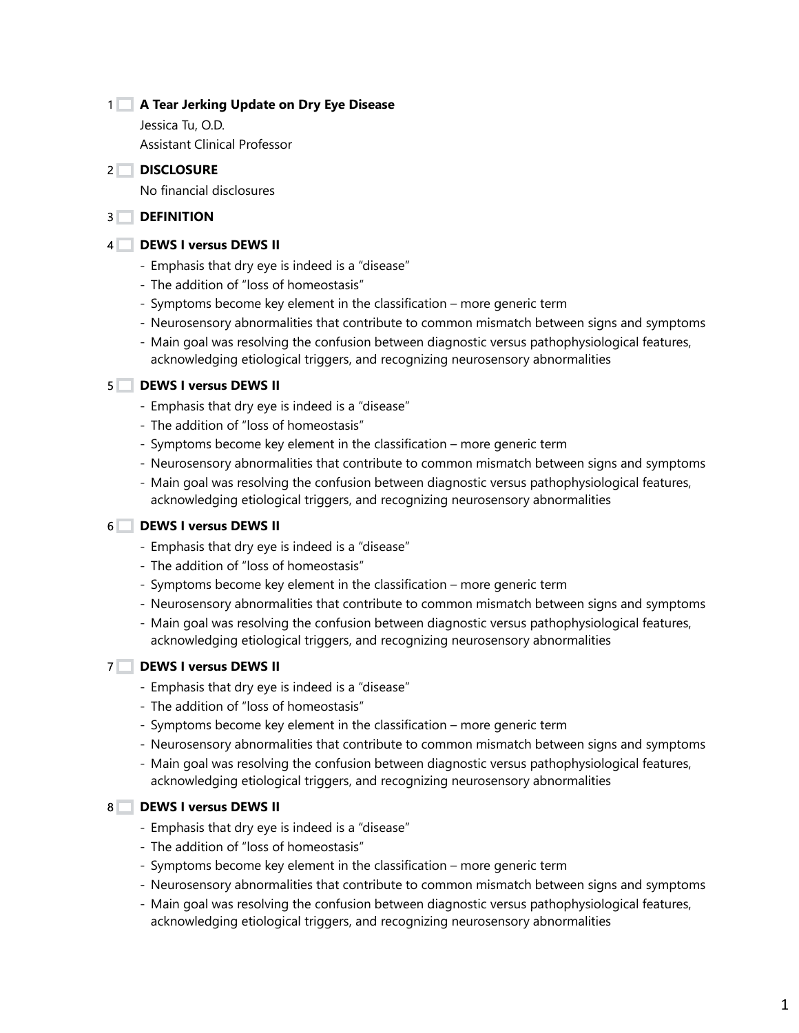# **A Tear Jerking Update on Dry Eye Disease** 1

Jessica Tu, O.D. Assistant Clinical Professor

#### **DISCLOSURE** 2

No financial disclosures

#### **DEFINITION** 3

#### **DEWS I versus DEWS II** 4

- Emphasis that dry eye is indeed is a "disease"
- The addition of "loss of homeostasis"
- Symptoms become key element in the classification more generic term
- Neurosensory abnormalities that contribute to common mismatch between signs and symptoms
- Main goal was resolving the confusion between diagnostic versus pathophysiological features, acknowledging etiological triggers, and recognizing neurosensory abnormalities

## **DEWS I versus DEWS II** 5

- Emphasis that dry eye is indeed is a "disease"
- The addition of "loss of homeostasis"
- Symptoms become key element in the classification more generic term
- Neurosensory abnormalities that contribute to common mismatch between signs and symptoms
- Main goal was resolving the confusion between diagnostic versus pathophysiological features, acknowledging etiological triggers, and recognizing neurosensory abnormalities

#### **DEWS I versus DEWS II** 6

- Emphasis that dry eye is indeed is a "disease"
- The addition of "loss of homeostasis"
- Symptoms become key element in the classification more generic term
- Neurosensory abnormalities that contribute to common mismatch between signs and symptoms
- Main goal was resolving the confusion between diagnostic versus pathophysiological features, acknowledging etiological triggers, and recognizing neurosensory abnormalities

## **DEWS I versus DEWS II** 7

- Emphasis that dry eye is indeed is a "disease"
- The addition of "loss of homeostasis"
- Symptoms become key element in the classification more generic term
- Neurosensory abnormalities that contribute to common mismatch between signs and symptoms
- Main goal was resolving the confusion between diagnostic versus pathophysiological features, acknowledging etiological triggers, and recognizing neurosensory abnormalities

## **DEWS I versus DEWS II** 8

- Emphasis that dry eye is indeed is a "disease"
- The addition of "loss of homeostasis"
- Symptoms become key element in the classification more generic term
- Neurosensory abnormalities that contribute to common mismatch between signs and symptoms
- Main goal was resolving the confusion between diagnostic versus pathophysiological features, acknowledging etiological triggers, and recognizing neurosensory abnormalities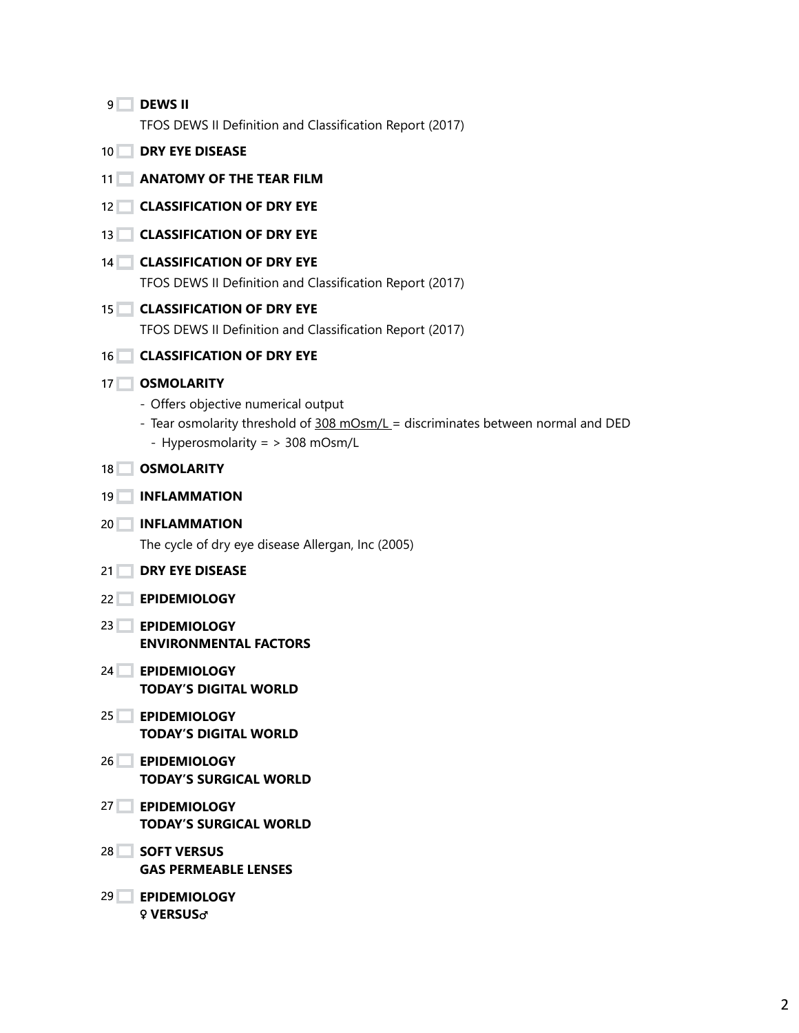| 9               | <b>DEWS II</b><br>TFOS DEWS II Definition and Classification Report (2017)                                                                                                       |
|-----------------|----------------------------------------------------------------------------------------------------------------------------------------------------------------------------------|
| 10 <sup>°</sup> | <b>DRY EYE DISEASE</b>                                                                                                                                                           |
| 11 <sup>1</sup> | <b>ANATOMY OF THE TEAR FILM</b>                                                                                                                                                  |
| 12              | <b>CLASSIFICATION OF DRY EYE</b>                                                                                                                                                 |
| 13              | <b>CLASSIFICATION OF DRY EYE</b>                                                                                                                                                 |
| 14              | <b>CLASSIFICATION OF DRY EYE</b><br>TFOS DEWS II Definition and Classification Report (2017)                                                                                     |
| 15 <sup>2</sup> | <b>CLASSIFICATION OF DRY EYE</b><br>TFOS DEWS II Definition and Classification Report (2017)                                                                                     |
| 16              | <b>CLASSIFICATION OF DRY EYE</b>                                                                                                                                                 |
| 17 <sup>1</sup> | <b>OSMOLARITY</b><br>- Offers objective numerical output<br>- Tear osmolarity threshold of 308 mOsm/L = discriminates between normal and DED<br>- Hyperosmolarity = > 308 mOsm/L |
| 18              | <b>OSMOLARITY</b>                                                                                                                                                                |
| 19              | <b>INFLAMMATION</b>                                                                                                                                                              |
| 20 <sub>1</sub> | <b>INFLAMMATION</b>                                                                                                                                                              |
|                 | The cycle of dry eye disease Allergan, Inc (2005)                                                                                                                                |
| 21              | <b>DRY EYE DISEASE</b>                                                                                                                                                           |
| 22              | <b>EPIDEMIOLOGY</b>                                                                                                                                                              |
| 23              | <b>EPIDEMIOLOGY</b><br><b>ENVIRONMENTAL FACTORS</b>                                                                                                                              |
|                 | 24 EPIDEMIOLOGY<br><b>TODAY'S DIGITAL WORLD</b>                                                                                                                                  |
| 25 <sup>2</sup> | <b>EPIDEMIOLOGY</b><br><b>TODAY'S DIGITAL WORLD</b>                                                                                                                              |
| 26              | <b>EPIDEMIOLOGY</b><br><b>TODAY'S SURGICAL WORLD</b>                                                                                                                             |
| $27$ $\Box$     | <b>EPIDEMIOLOGY</b><br><b>TODAY'S SURGICAL WORLD</b>                                                                                                                             |
| 28              | <b>SOFT VERSUS</b><br><b>GAS PERMEABLE LENSES</b>                                                                                                                                |
| 29              | <b>EPIDEMIOLOGY</b>                                                                                                                                                              |

♀ **VERSUS**♂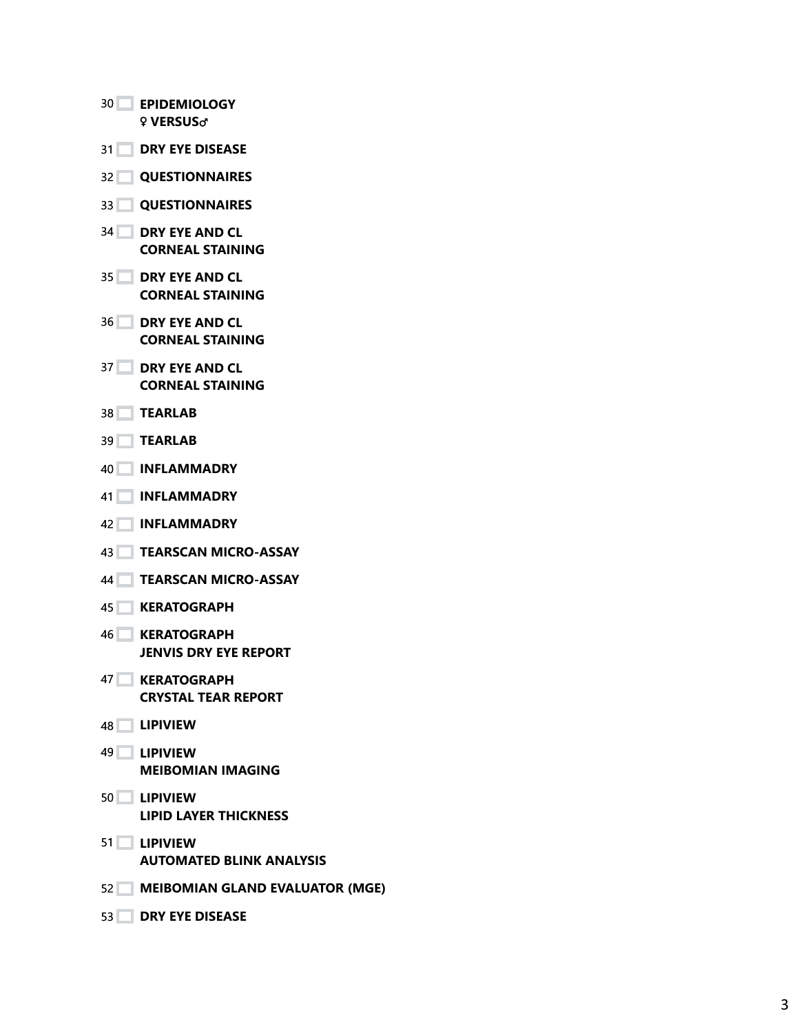|    | 30 EPIDEMIOLOGY<br><b>9 VERSUS</b> <sub>O</sub>     |
|----|-----------------------------------------------------|
|    | <b>31 DRY EYE DISEASE</b>                           |
|    | 32 QUESTIONNAIRES                                   |
|    | <b>33 QUESTIONNAIRES</b>                            |
|    | <b>34 DRY EYE AND CL</b><br><b>CORNEAL STAINING</b> |
|    | <b>35 DRY EYE AND CL</b><br><b>CORNEAL STAINING</b> |
|    | <b>36 DRY EYE AND CL</b><br><b>CORNEAL STAINING</b> |
|    | <b>37 DRY EYE AND CL</b><br><b>CORNEAL STAINING</b> |
|    | 38 TEARLAB                                          |
|    | 39 TEARLAB                                          |
|    | 40 INFLAMMADRY                                      |
| 41 | <b>NINFLAMMADRY</b>                                 |
|    | 42 <b>INFLAMMADRY</b>                               |
|    | 43 TEARSCAN MICRO-ASSAY                             |
| 44 | <b>TEARSCAN MICRO-ASSAY</b>                         |
| 45 | <b>KERATOGRAPH</b>                                  |
|    | 46 KERATOGRAPH<br><b>JENVIS DRY EYE REPORT</b>      |
|    | 47 KERATOGRAPH<br><b>CRYSTAL TEAR REPORT</b>        |
|    | 48 LIPIVIEW                                         |
|    | 49 LIPIVIEW<br><b>MEIBOMIAN IMAGING</b>             |
|    | 50 LIPIVIEW<br><b>LIPID LAYER THICKNESS</b>         |
|    | 51 LIPIVIEW<br><b>AUTOMATED BLINK ANALYSIS</b>      |
|    | 52 MEIBOMIAN GLAND EVALUATOR (MGE)                  |
|    | 53 DRY EYE DISEASE                                  |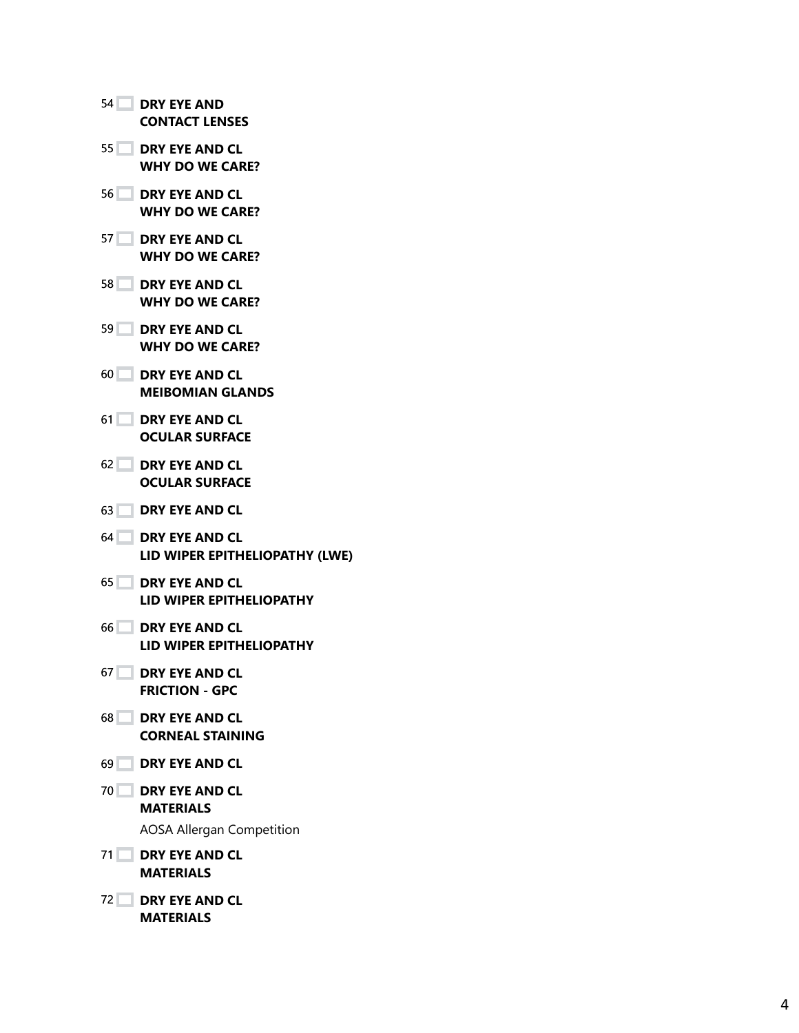|                 | 54 DRY EYE AND<br><b>CONTACT LENSES</b>                                   |
|-----------------|---------------------------------------------------------------------------|
|                 | 55 DRY EYE AND CL<br><b>WHY DO WE CARE?</b>                               |
|                 | 56 DRY EYE AND CL<br><b>WHY DO WE CARE?</b>                               |
|                 | 57 DRY EYE AND CL<br><b>WHY DO WE CARE?</b>                               |
|                 | 58 DRY EYE AND CL<br><b>WHY DO WE CARE?</b>                               |
|                 | 59 DRY EYE AND CL<br><b>WHY DO WE CARE?</b>                               |
|                 | 60 DRY EYE AND CL<br><b>MEIBOMIAN GLANDS</b>                              |
|                 | 61 DRY EYE AND CL<br><b>OCULAR SURFACE</b>                                |
|                 | 62 DRY EYE AND CL<br><b>OCULAR SURFACE</b>                                |
|                 | 63 DRY EYE AND CL                                                         |
|                 | 64 DRY EYE AND CL<br>LID WIPER EPITHELIOPATHY (LWE)                       |
|                 | <b>65 DRY EYE AND CL</b><br>LID WIPER EPITHELIOPATHY                      |
|                 | 66 DRY EYE AND CL<br>LID WIPER EPITHELIOPATHY                             |
| 67 <sup>°</sup> | <b>DRY EYE AND CL</b><br><b>FRICTION - GPC</b>                            |
|                 | 68 DRY EYE AND CL<br><b>CORNEAL STAINING</b>                              |
|                 | 69 DRY EYE AND CL                                                         |
|                 | 70 DRY EYE AND CL<br><b>MATERIALS</b><br><b>AOSA Allergan Competition</b> |
|                 | 71 DRY EYE AND CL<br><b>MATERIALS</b>                                     |
|                 | 72 DRY EYE AND CL<br><b>MATERIALS</b>                                     |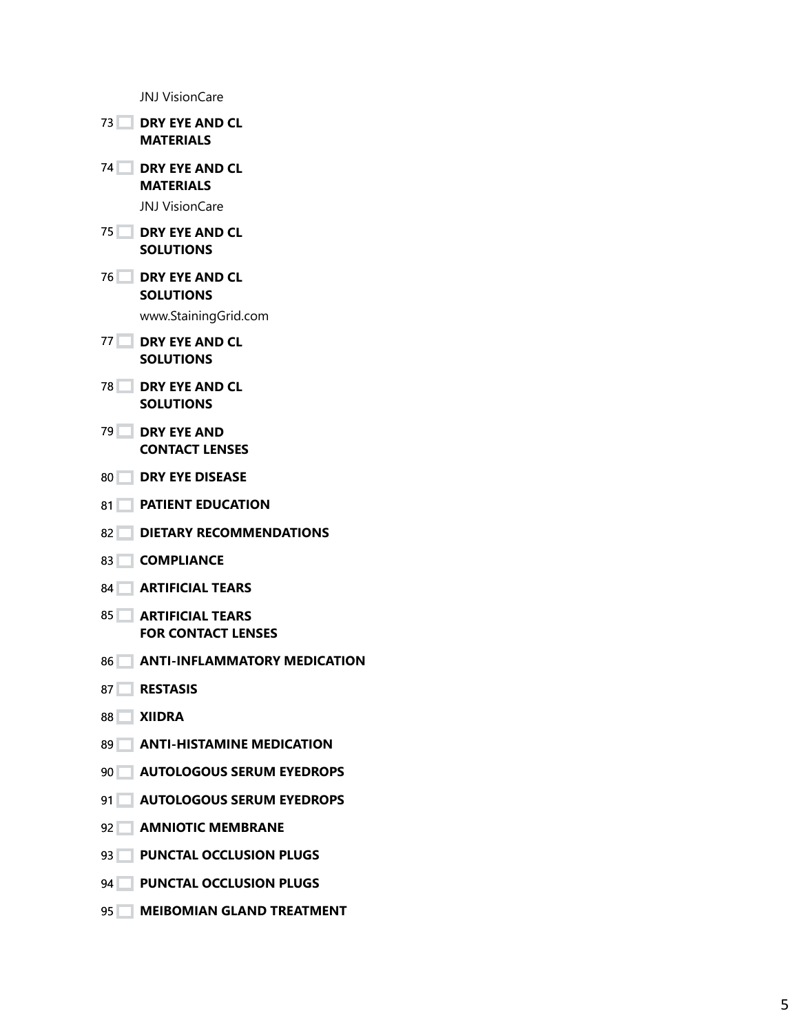JNJ VisionCare

- **DRY EYE AND CL MATERIALS DRY EYE AND CL MATERIALS** JNJ VisionCare **DRY EYE AND CL SOLUTIONS DRY EYE AND CL SOLUTIONS** www.StainingGrid.com **DRY EYE AND CL SOLUTIONS DRY EYE AND CL SOLUTIONS DRY EYE AND CONTACT LENSES DRY EYE DISEASE**
- **PATIENT EDUCATION**
- 82 DIETARY RECOMMENDATIONS
- **COMPLIANCE**
- **ARTIFICIAL TEARS**
- **ARTIFICIAL TEARS FOR CONTACT LENSES**
- **ANTI-INFLAMMATORY MEDICATION**
- **RESTASIS**
- **XIIDRA**
- **ANTI-HISTAMINE MEDICATION**
- **AUTOLOGOUS SERUM EYEDROPS**
- **AUTOLOGOUS SERUM EYEDROPS**
- **AMNIOTIC MEMBRANE**
- **PUNCTAL OCCLUSION PLUGS**
- **PUNCTAL OCCLUSION PLUGS**
- **MEIBOMIAN GLAND TREATMENT**